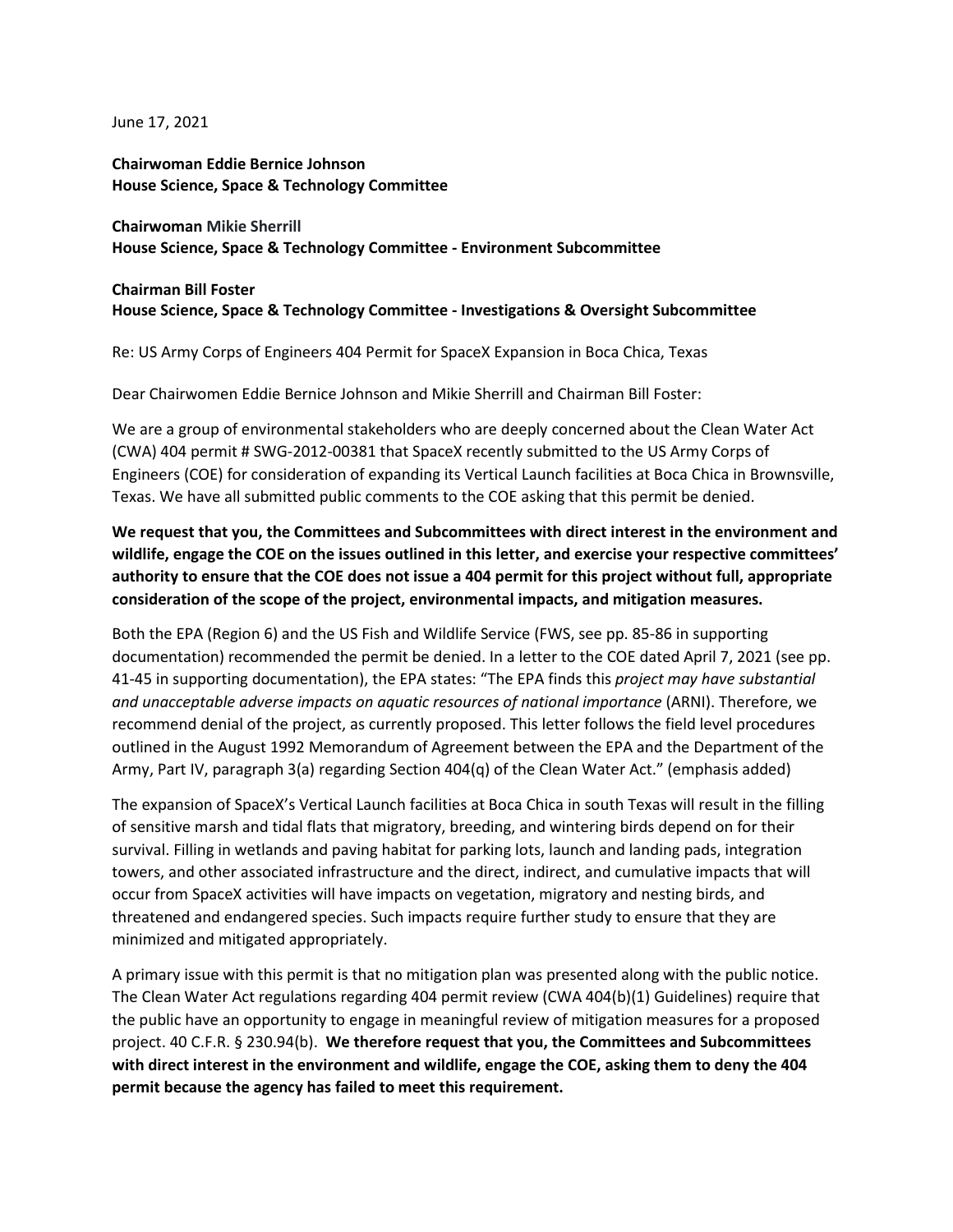June 17, 2021

**Chairwoman Eddie Bernice Johnson House Science, Space & Technology Committee** 

**Chairwoman Mikie Sherrill House Science, Space & Technology Committee - Environment Subcommittee**

## **Chairman Bill Foster House Science, Space & Technology Committee - Investigations & Oversight Subcommittee**

Re: US Army Corps of Engineers 404 Permit for SpaceX Expansion in Boca Chica, Texas

Dear Chairwomen Eddie Bernice Johnson and Mikie Sherrill and Chairman Bill Foster:

We are a group of environmental stakeholders who are deeply concerned about the Clean Water Act (CWA) 404 permit # SWG-2012-00381 that SpaceX recently submitted to the US Army Corps of Engineers (COE) for consideration of expanding its Vertical Launch facilities at Boca Chica in Brownsville, Texas. We have all submitted public comments to the COE asking that this permit be denied.

## **We request that you, the Committees and Subcommittees with direct interest in the environment and wildlife, engage the COE on the issues outlined in this letter, and exercise your respective committees' authority to ensure that the COE does not issue a 404 permit for this project without full, appropriate consideration of the scope of the project, environmental impacts, and mitigation measures.**

Both the EPA (Region 6) and the US Fish and Wildlife Service (FWS, see pp. 85-86 in supporting documentation) recommended the permit be denied. In a letter to the COE dated April 7, 2021 (see pp. 41-45 in supporting documentation), the EPA states: "The EPA finds this *project may have substantial and unacceptable adverse impacts on aquatic resources of national importance* (ARNI). Therefore, we recommend denial of the project, as currently proposed. This letter follows the field level procedures outlined in the August 1992 Memorandum of Agreement between the EPA and the Department of the Army, Part IV, paragraph 3(a) regarding Section 404(q) of the Clean Water Act." (emphasis added)

The expansion of SpaceX's Vertical Launch facilities at Boca Chica in south Texas will result in the filling of sensitive marsh and tidal flats that migratory, breeding, and wintering birds depend on for their survival. Filling in wetlands and paving habitat for parking lots, launch and landing pads, integration towers, and other associated infrastructure and the direct, indirect, and cumulative impacts that will occur from SpaceX activities will have impacts on vegetation, migratory and nesting birds, and threatened and endangered species. Such impacts require further study to ensure that they are minimized and mitigated appropriately.

A primary issue with this permit is that no mitigation plan was presented along with the public notice. The Clean Water Act regulations regarding 404 permit review (CWA 404(b)(1) Guidelines) require that the public have an opportunity to engage in meaningful review of mitigation measures for a proposed project. 40 C.F.R. § 230.94(b). **We therefore request that you, the Committees and Subcommittees with direct interest in the environment and wildlife, engage the COE, asking them to deny the 404 permit because the agency has failed to meet this requirement.**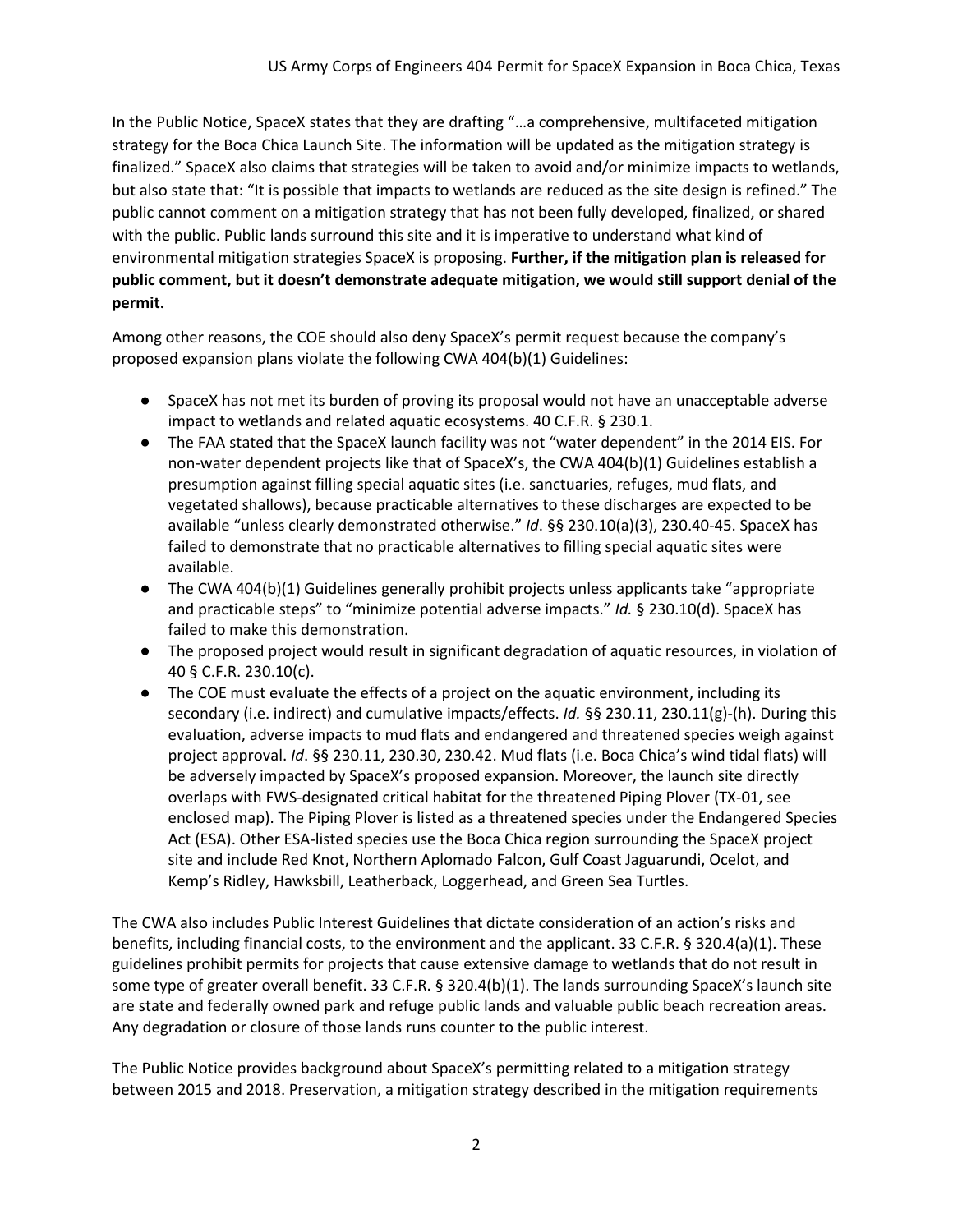In the Public Notice, SpaceX states that they are drafting "…a comprehensive, multifaceted mitigation strategy for the Boca Chica Launch Site. The information will be updated as the mitigation strategy is finalized." SpaceX also claims that strategies will be taken to avoid and/or minimize impacts to wetlands, but also state that: "It is possible that impacts to wetlands are reduced as the site design is refined." The public cannot comment on a mitigation strategy that has not been fully developed, finalized, or shared with the public. Public lands surround this site and it is imperative to understand what kind of environmental mitigation strategies SpaceX is proposing. **Further, if the mitigation plan is released for public comment, but it doesn't demonstrate adequate mitigation, we would still support denial of the permit.**

Among other reasons, the COE should also deny SpaceX's permit request because the company's proposed expansion plans violate the following CWA 404(b)(1) Guidelines:

- SpaceX has not met its burden of proving its proposal would not have an unacceptable adverse impact to wetlands and related aquatic ecosystems. 40 C.F.R. § 230.1.
- The FAA stated that the SpaceX launch facility was not "water dependent" in the 2014 EIS. For non-water dependent projects like that of SpaceX's, the CWA 404(b)(1) Guidelines establish a presumption against filling special aquatic sites (i.e. sanctuaries, refuges, mud flats, and vegetated shallows), because practicable alternatives to these discharges are expected to be available "unless clearly demonstrated otherwise." *Id*. §§ 230.10(a)(3), 230.40-45. SpaceX has failed to demonstrate that no practicable alternatives to filling special aquatic sites were available.
- The CWA 404(b)(1) Guidelines generally prohibit projects unless applicants take "appropriate and practicable steps" to "minimize potential adverse impacts." *Id.* § 230.10(d). SpaceX has failed to make this demonstration.
- The proposed project would result in significant degradation of aquatic resources, in violation of 40 § C.F.R. 230.10(c).
- The COE must evaluate the effects of a project on the aquatic environment, including its secondary (i.e. indirect) and cumulative impacts/effects. *Id.* §§ 230.11, 230.11(g)-(h). During this evaluation, adverse impacts to mud flats and endangered and threatened species weigh against project approval. *Id*. §§ 230.11, 230.30, 230.42. Mud flats (i.e. Boca Chica's wind tidal flats) will be adversely impacted by SpaceX's proposed expansion. Moreover, the launch site directly overlaps with FWS-designated critical habitat for the threatened Piping Plover (TX-01, see enclosed map). The Piping Plover is listed as a threatened species under the Endangered Species Act (ESA). Other ESA-listed species use the Boca Chica region surrounding the SpaceX project site and include Red Knot, Northern Aplomado Falcon, Gulf Coast Jaguarundi, Ocelot, and Kemp's Ridley, Hawksbill, Leatherback, Loggerhead, and Green Sea Turtles.

The CWA also includes Public Interest Guidelines that dictate consideration of an action's risks and benefits, including financial costs, to the environment and the applicant. 33 C.F.R. § 320.4(a)(1). These guidelines prohibit permits for projects that cause extensive damage to wetlands that do not result in some type of greater overall benefit. 33 C.F.R. § 320.4(b)(1). The lands surrounding SpaceX's launch site are state and federally owned park and refuge public lands and valuable public beach recreation areas. Any degradation or closure of those lands runs counter to the public interest.

The Public Notice provides background about SpaceX's permitting related to a mitigation strategy between 2015 and 2018. Preservation, a mitigation strategy described in the mitigation requirements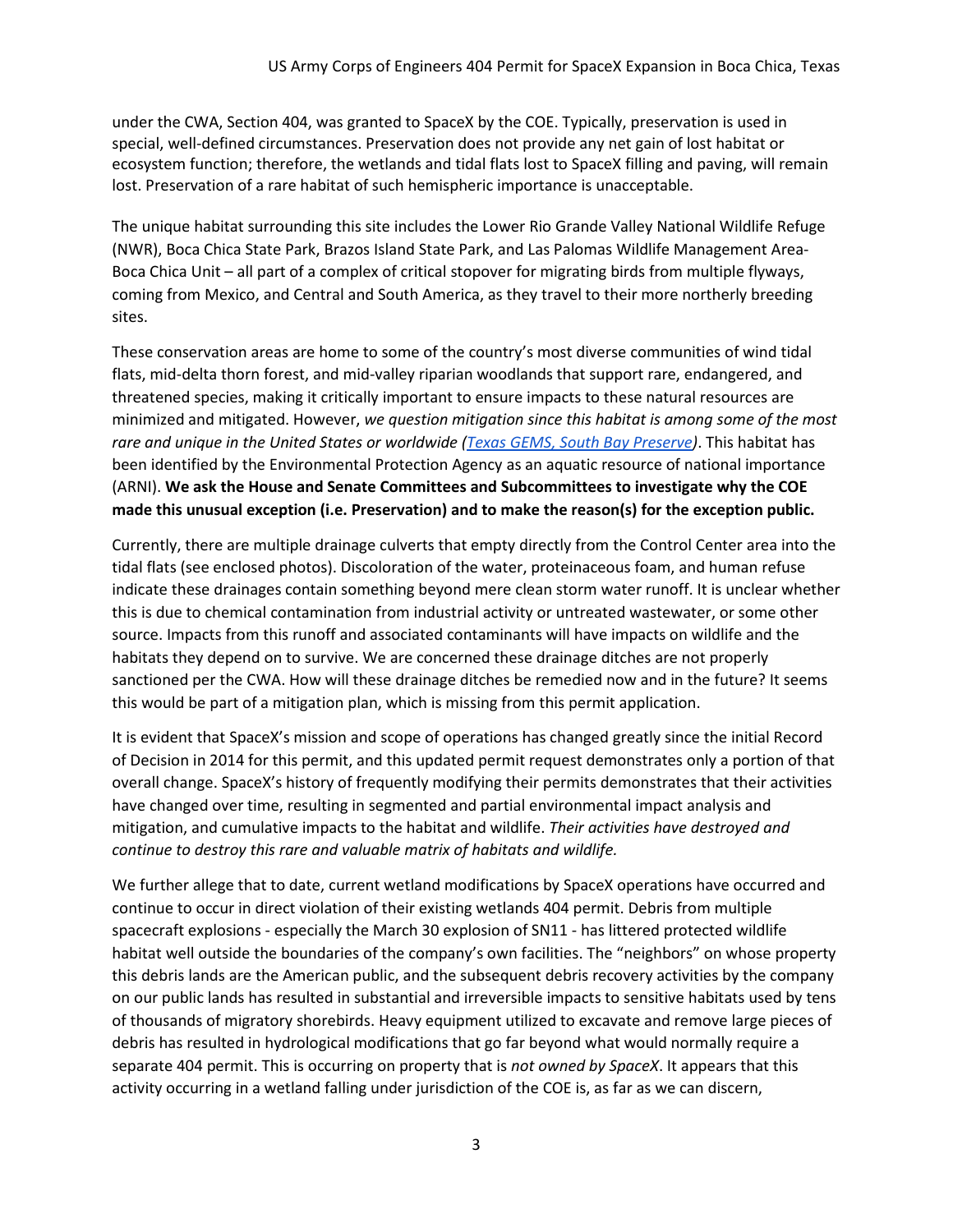under the CWA, Section 404, was granted to SpaceX by the COE. Typically, preservation is used in special, well-defined circumstances. Preservation does not provide any net gain of lost habitat or ecosystem function; therefore, the wetlands and tidal flats lost to SpaceX filling and paving, will remain lost. Preservation of a rare habitat of such hemispheric importance is unacceptable.

The unique habitat surrounding this site includes the Lower Rio Grande Valley National Wildlife Refuge (NWR), Boca Chica State Park, Brazos Island State Park, and Las Palomas Wildlife Management Area-Boca Chica Unit – all part of a complex of critical stopover for migrating birds from multiple flyways, coming from Mexico, and Central and South America, as they travel to their more northerly breeding sites.

These conservation areas are home to some of the country's most diverse communities of wind tidal flats, mid-delta thorn forest, and mid-valley riparian woodlands that support rare, endangered, and threatened species, making it critically important to ensure impacts to these natural resources are minimized and mitigated. However, *we question mitigation since this habitat is among some of the most rare and unique in the United States or worldwide [\(Texas GEMS, South Bay Preserve\)](https://url.emailprotection.link/?bPo2FgCTtEZrzy-ZHNZQgW6zvXtT9pkoWVMWWAk6pnEWF80_g2mkTPotzHjyUcGQ-_FTwZNUOcyyFMPe0w3CJgvVV1p9NKBu0W1gy8lDq6QbXnJAiyfAF8PksP1HzT9Ly)*. This habitat has been identified by the Environmental Protection Agency as an aquatic resource of national importance (ARNI). **We ask the House and Senate Committees and Subcommittees to investigate why the COE made this unusual exception (i.e. Preservation) and to make the reason(s) for the exception public.**

Currently, there are multiple drainage culverts that empty directly from the Control Center area into the tidal flats (see enclosed photos). Discoloration of the water, proteinaceous foam, and human refuse indicate these drainages contain something beyond mere clean storm water runoff. It is unclear whether this is due to chemical contamination from industrial activity or untreated wastewater, or some other source. Impacts from this runoff and associated contaminants will have impacts on wildlife and the habitats they depend on to survive. We are concerned these drainage ditches are not properly sanctioned per the CWA. How will these drainage ditches be remedied now and in the future? It seems this would be part of a mitigation plan, which is missing from this permit application.

It is evident that SpaceX's mission and scope of operations has changed greatly since the initial Record of Decision in 2014 for this permit, and this updated permit request demonstrates only a portion of that overall change. SpaceX's history of frequently modifying their permits demonstrates that their activities have changed over time, resulting in segmented and partial environmental impact analysis and mitigation, and cumulative impacts to the habitat and wildlife. *Their activities have destroyed and continue to destroy this rare and valuable matrix of habitats and wildlife.* 

We further allege that to date, current wetland modifications by SpaceX operations have occurred and continue to occur in direct violation of their existing wetlands 404 permit. Debris from multiple spacecraft explosions - especially the March 30 explosion of SN11 - has littered protected wildlife habitat well outside the boundaries of the company's own facilities. The "neighbors" on whose property this debris lands are the American public, and the subsequent debris recovery activities by the company on our public lands has resulted in substantial and irreversible impacts to sensitive habitats used by tens of thousands of migratory shorebirds. Heavy equipment utilized to excavate and remove large pieces of debris has resulted in hydrological modifications that go far beyond what would normally require a separate 404 permit. This is occurring on property that is *not owned by SpaceX*. It appears that this activity occurring in a wetland falling under jurisdiction of the COE is, as far as we can discern,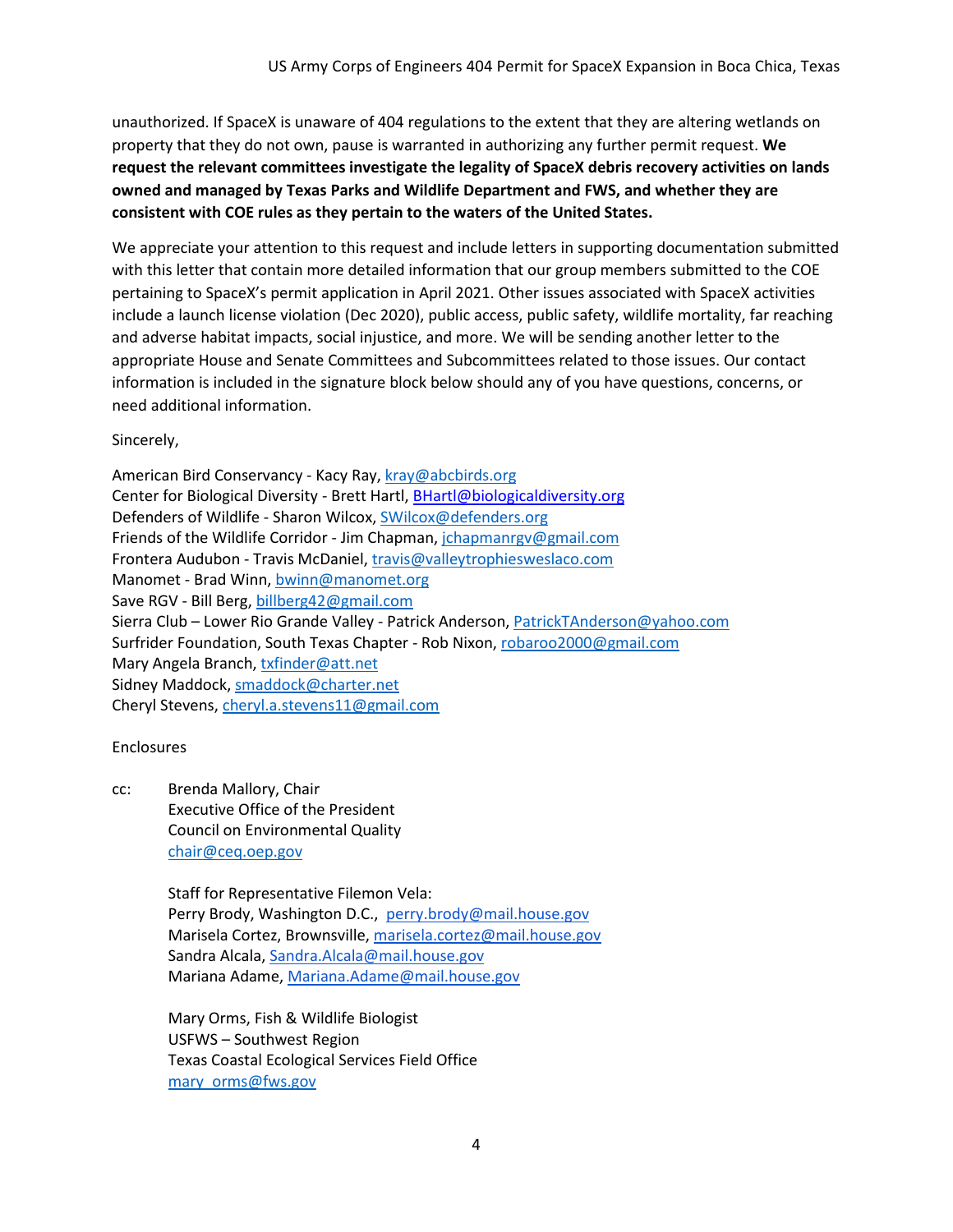unauthorized. If SpaceX is unaware of 404 regulations to the extent that they are altering wetlands on property that they do not own, pause is warranted in authorizing any further permit request. **We request the relevant committees investigate the legality of SpaceX debris recovery activities on lands owned and managed by Texas Parks and Wildlife Department and FWS, and whether they are consistent with COE rules as they pertain to the waters of the United States.**

We appreciate your attention to this request and include letters in supporting documentation submitted with this letter that contain more detailed information that our group members submitted to the COE pertaining to SpaceX's permit application in April 2021. Other issues associated with SpaceX activities include a launch license violation (Dec 2020), public access, public safety, wildlife mortality, far reaching and adverse habitat impacts, social injustice, and more. We will be sending another letter to the appropriate House and Senate Committees and Subcommittees related to those issues. Our contact information is included in the signature block below should any of you have questions, concerns, or need additional information.

Sincerely,

American Bird Conservancy - Kacy Ray[, kray@abcbirds.org](mailto:kray@abcbirds.org) Center for Biological Diversity - Brett Hartl, **BHartl@biologicaldiversity.org** Defenders of Wildlife - Sharon Wilcox[, SWilcox@defenders.org](mailto:SWilcox@defenders.org) Friends of the Wildlife Corridor - Jim Chapman, [jchapmanrgv@gmail.com](mailto:jchapmanrgv@gmail.com) Frontera Audubon - Travis McDaniel, [travis@valleytrophiesweslaco.com](mailto:travis@valleytrophiesweslaco.com) Manomet - Brad Winn, [bwinn@manomet.org](mailto:bwinn@manomet.org) Save RGV - Bill Berg[, billberg42@gmail.com](mailto:billberg42@gmail.com) Sierra Club – Lower Rio Grande Valley - Patrick Anderson, [PatrickTAnderson@yahoo.com](mailto:PatrickTAnderson@yahoo.com) Surfrider Foundation, South Texas Chapter - Rob Nixon, [robaroo2000@gmail.com](mailto:robaroo2000@gmail.com) Mary Angela Branch[, txfinder@att.net](mailto:txfinder@att.net) Sidney Maddock, [smaddock@charter.net](mailto:smaddock@charter.net) Cheryl Stevens, [cheryl.a.stevens11@gmail.com](mailto:cheryl.a.stevens11@gmail.com)

## Enclosures

cc: Brenda Mallory, Chair Executive Office of the President Council on Environmental Quality [chair@ceq.oep.gov](mailto:chair!@ceq.oep.gov)

> Staff for Representative Filemon Vela: Perry Brody, Washington D.C., [perry.brody@mail.house.gov](mailto:perry.brody@mail.house.gov) Marisela Cortez, Brownsville, [marisela.cortez@mail.house.gov](mailto:marisela.cortez@mail.house.gov) Sandra Alcala, [Sandra.Alcala@mail.house.gov](mailto:Sandra.Alcala@mail.house.gov) Mariana Adame[, Mariana.Adame@mail.house.gov](mailto:Mariana.Adame@mail.house.gov)

Mary Orms, Fish & Wildlife Biologist USFWS – Southwest Region Texas Coastal Ecological Services Field Office [mary\\_orms@fws.gov](mailto:mary_orms@fws.gov)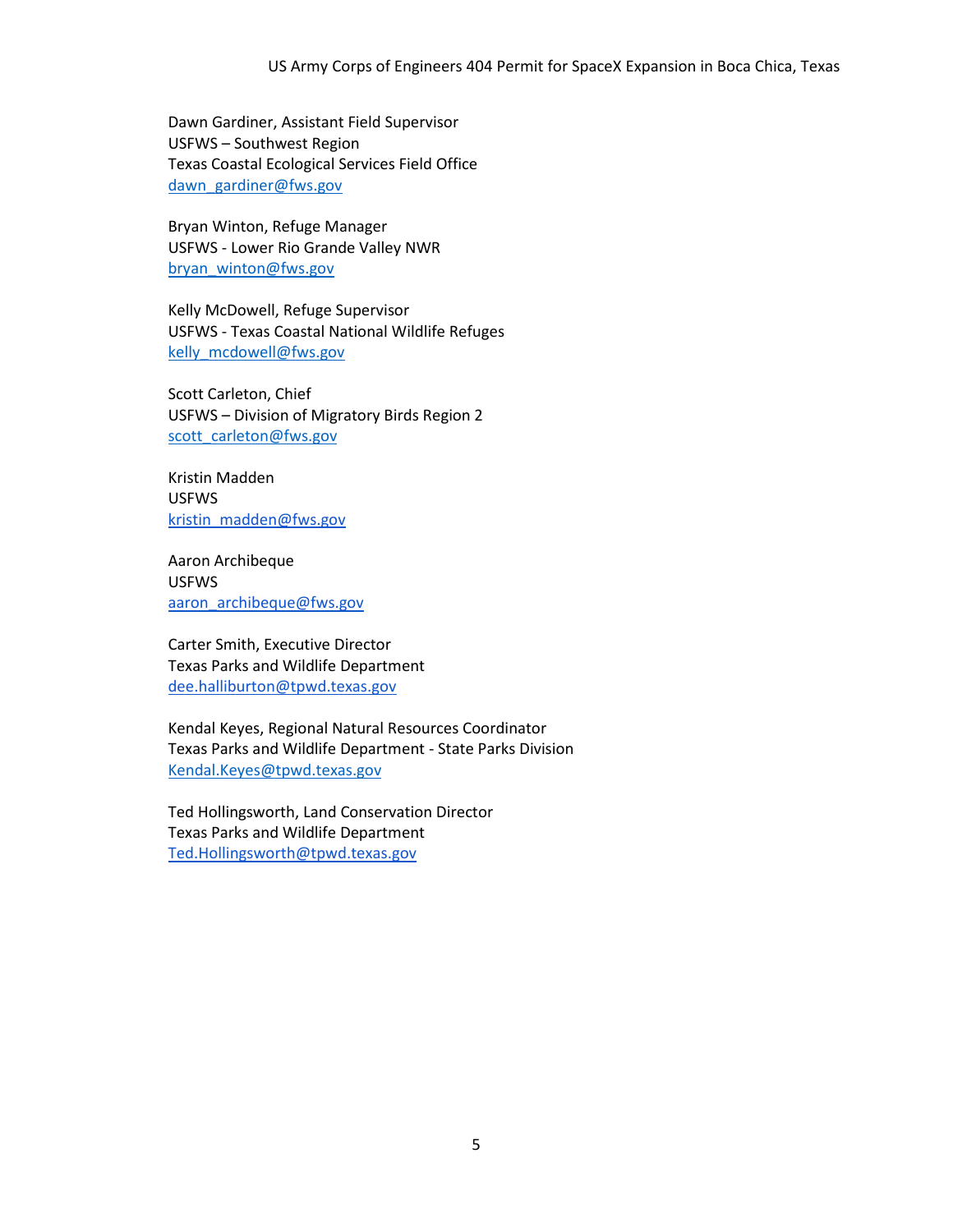Dawn Gardiner, Assistant Field Supervisor USFWS – Southwest Region Texas Coastal Ecological Services Field Office [dawn\\_gardiner@fws.gov](mailto:dawn_gardiner@fws.gov)

Bryan Winton, Refuge Manager USFWS - Lower Rio Grande Valley NWR [bryan\\_winton@fws.gov](mailto:bryan_winton@fws.gov)

Kelly McDowell, Refuge Supervisor USFWS - Texas Coastal National Wildlife Refuges [kelly\\_mcdowell@fws.gov](mailto:kelly_mcdowell@fws.gov)

Scott Carleton, Chief USFWS – Division of Migratory Birds Region 2 [scott\\_carleton@fws.gov](mailto:scott_carleton@fws.gov)

Kristin Madden USFWS [kristin\\_madden@fws.gov](mailto:kristin_madden@fws.gov)

Aaron Archibeque USFWS [aaron\\_archibeque@fws.gov](mailto:aaron_archibeque@fws.gov)

Carter Smith, Executive Director Texas Parks and Wildlife Department [dee.halliburton@tpwd.texas.gov](mailto:dee.halliburton@tpwd.texas.gov)

Kendal Keyes, Regional Natural Resources Coordinator Texas Parks and Wildlife Department - State Parks Division [Kendal.Keyes@tpwd.texas.gov](mailto:Kendal.Keyes@tpwd.texas.gov)

Ted Hollingsworth, Land Conservation Director Texas Parks and Wildlife Department [Ted.Hollingsworth@tpwd.texas.gov](mailto:Ted.Hollingsworth@tpwd.texas.gov)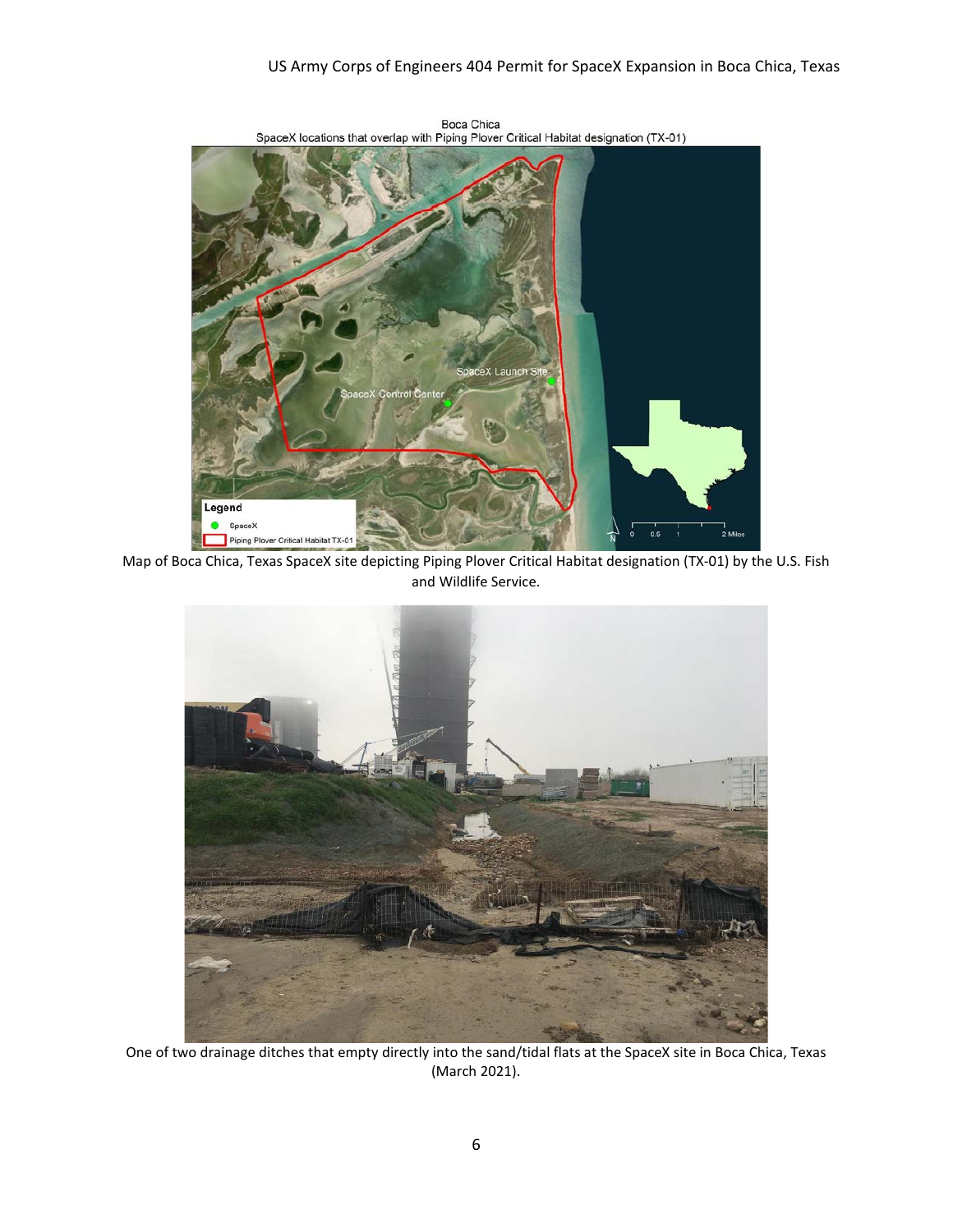## US Army Corps of Engineers 404 Permit for SpaceX Expansion in Boca Chica, Texas



Boca Chica<br>SpaceX locations that overlap with Piping Plover Critical Habitat designation (TX-01)

Map of Boca Chica, Texas SpaceX site depicting Piping Plover Critical Habitat designation (TX-01) by the U.S. Fish and Wildlife Service.



One of two drainage ditches that empty directly into the sand/tidal flats at the SpaceX site in Boca Chica, Texas (March 2021).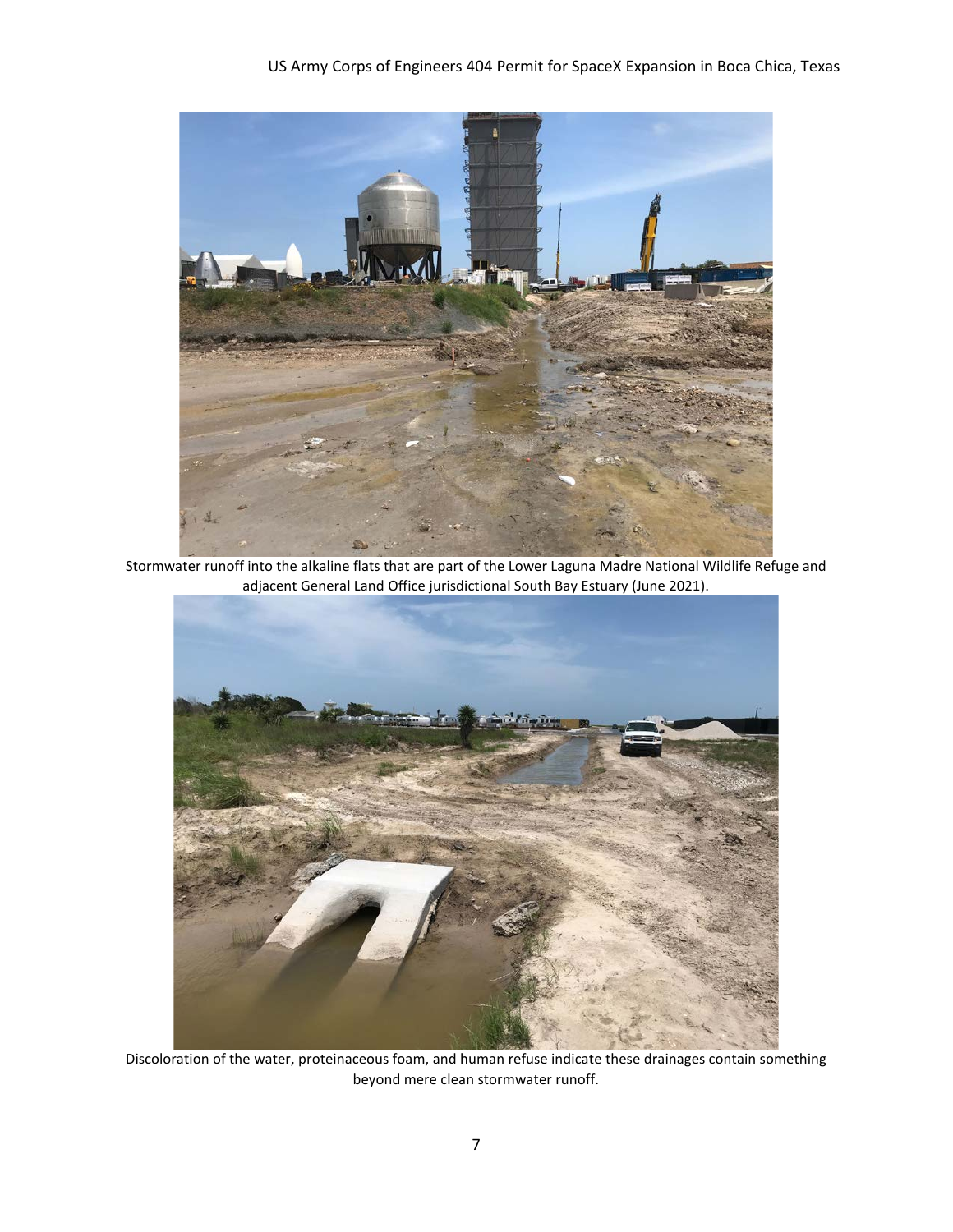

Stormwater runoff into the alkaline flats that are part of the Lower Laguna Madre National Wildlife Refuge and adjacent General Land Office jurisdictional South Bay Estuary (June 2021).



Discoloration of the water, proteinaceous foam, and human refuse indicate these drainages contain something beyond mere clean stormwater runoff.